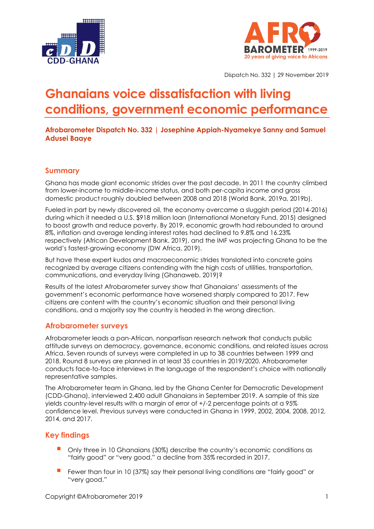



Dispatch No. 332 | 29 November 2019

# **Ghanaians voice dissatisfaction with living conditions, government economic performance**

**Afrobarometer Dispatch No. 332 | Josephine Appiah-Nyamekye Sanny and Samuel Adusei Baaye**

# **Summary**

Ghana has made giant economic strides over the past decade. In 2011 the country climbed from lower-income to middle-income status, and both per-capita income and gross domestic product roughly doubled between 2008 and 2018 (World Bank, 2019a, 2019b).

Fueled in part by newly discovered oil, the economy overcame a sluggish period (2014-2016) during which it needed a U.S. \$918 million loan (International Monetary Fund, 2015) designed to boost growth and reduce poverty. By 2019, economic growth had rebounded to around 8%, inflation and average lending interest rates had declined to 9.8% and 16.23% respectively (African Development Bank, 2019), and the IMF was projecting Ghana to be the world's fastest-growing economy (DW Africa, 2019).

But have these expert kudos and macroeconomic strides translated into concrete gains recognized by average citizens contending with the high costs of utilities, transportation, communications, and everyday living (Ghanaweb, 2019)?

Results of the latest Afrobarometer survey show that Ghanaians' assessments of the government's economic performance have worsened sharply compared to 2017. Few citizens are content with the country's economic situation and their personal living conditions, and a majority say the country is headed in the wrong direction.

# **Afrobarometer surveys**

Afrobarometer leads a pan-African, nonpartisan research network that conducts public attitude surveys on democracy, governance, economic conditions, and related issues across Africa. Seven rounds of surveys were completed in up to 38 countries between 1999 and 2018. Round 8 surveys are planned in at least 35 countries in 2019/2020. Afrobarometer conducts face-to-face interviews in the language of the respondent's choice with nationally representative samples.

The Afrobarometer team in Ghana, led by the Ghana Center for Democratic Development (CDD-Ghana), interviewed 2,400 adult Ghanaians in September 2019. A sample of this size yields country-level results with a margin of error of +/-2 percentage points at a 95% confidence level. Previous surveys were conducted in Ghana in 1999, 2002, 2004, 2008, 2012, 2014, and 2017.

# **Key findings**

- Only three in 10 Ghanaians (30%) describe the country's economic conditions as "fairly good" or "very good," a decline from 35% recorded in 2017.
- Fewer than four in 10 (37%) say their personal living conditions are "fairly good" or "very good."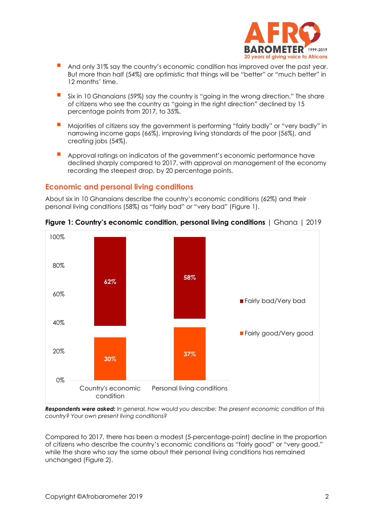

- And only 31% say the country's economic condition has improved over the past year. But more than half (54%) are optimistic that things will be "better" or "much better" in 12 months' time.
- Six in 10 Ghanaians (59%) say the country is "going in the wrong direction." The share of citizens who see the country as "going in the right direction" declined by 15 percentage points from 2017, to 35%.
- Majorities of citizens say the government is performing "fairly badly" or "very badly" in narrowing income gaps (66%), improving living standards of the poor (56%), and creating jobs (54%).
- Approval ratings on indicators of the government's economic performance have declined sharply compared to 2017, with approval on management of the economy recording the steepest drop, by 20 percentage points.

#### **Economic and personal living conditions**

About six in 10 Ghanaians describe the country's economic conditions (62%) and their personal living conditions (58%) as "fairly bad" or "very bad" (Figure 1).



**Figure 1: Country's economic condition, personal living conditions** | Ghana | 2019

*Respondents were asked: In general, how would you describe: The present economic condition of this country? Your own present living conditions?*

Compared to 2017, there has been a modest (5-percentage-point) decline in the proportion of citizens who describe the country's economic conditions as "fairly good" or "very good," while the share who say the same about their personal living conditions has remained unchanged (Figure 2).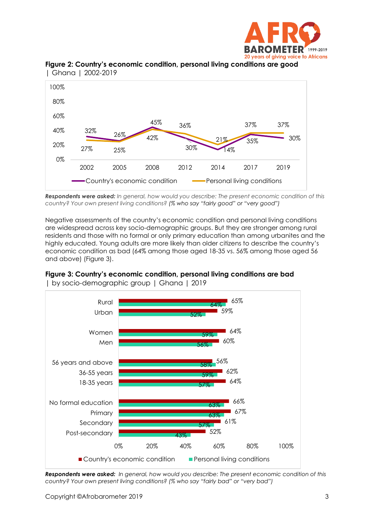



**Figure 2: Country's economic condition, personal living conditions are good**  | Ghana | 2002-2019

*Respondents were asked: In general, how would you describe: The present economic condition of this country? Your own present living conditions? (% who say "fairly good" or "very good")*

Negative assessments of the country's economic condition and personal living conditions are widespread across key socio-demographic groups. But they are stronger among rural residents and those with no formal or only primary education than among urbanites and the highly educated. Young adults are more likely than older citizens to describe the country's economic condition as bad (64% among those aged 18-35 vs. 56% among those aged 56 and above) (Figure 3).



**Figure 3: Country's economic condition, personal living conditions are bad**  | by socio-demographic group | Ghana | 2019

*Respondents were asked: In general, how would you describe: The present economic condition of this country? Your own present living conditions? (% who say "fairly bad" or "very bad")*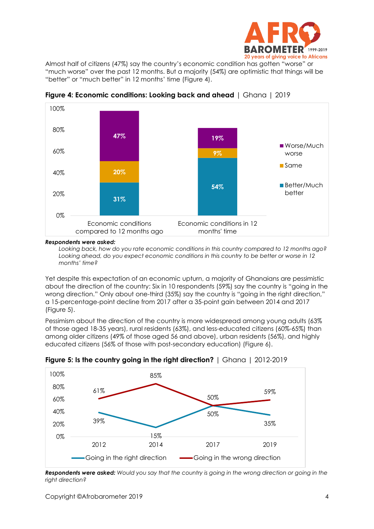

Almost half of citizens (47%) say the country's economic condition has gotten "worse" or "much worse" over the past 12 months. But a majority (54%) are optimistic that things will be "better" or "much better" in 12 months' time (Figure 4).



**Figure 4: Economic conditions: Looking back and ahead** | Ghana | 2019

#### *Respondents were asked:*

*Looking back, how do you rate economic conditions in this country compared to 12 months ago? Looking ahead, do you expect economic conditions in this country to be better or worse in 12 months' time?*

Yet despite this expectation of an economic upturn, a majority of Ghanaians are pessimistic about the direction of the country: Six in 10 respondents (59%) say the country is "going in the wrong direction." Only about one-third (35%) say the country is "going in the right direction," a 15-percentage-point decline from 2017 after a 35-point gain between 2014 and 2017 (Figure 5).

Pessimism about the direction of the country is more widespread among young adults (63% of those aged 18-35 years), rural residents (63%), and less-educated citizens (60%-65%) than among older citizens (49% of those aged 56 and above), urban residents (56%), and highly educated citizens (56% of those with post-secondary education) (Figure 6).



**Figure 5: Is the country going in the right direction?** | Ghana | 2012-2019

*Respondents were asked: Would you say that the country is going in the wrong direction or going in the right direction?*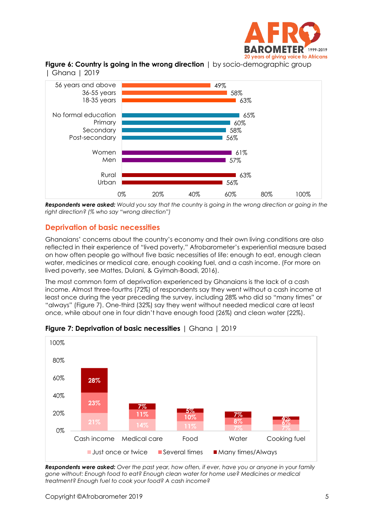

**Figure 6: Country is going in the wrong direction** | by socio-demographic group | Ghana | 2019



*Respondents were asked: Would you say that the country is going in the wrong direction or going in the right direction? (% who say "wrong direction")*

# **Deprivation of basic necessities**

Ghanaians' concerns about the country's economy and their own living conditions are also reflected in their experience of "lived poverty," Afrobarometer's experiential measure based on how often people go without five basic necessities of life: enough to eat, enough clean water, medicines or medical care, enough cooking fuel, and a cash income. (For more on lived poverty, see Mattes, Dulani, & Gyimah-Boadi, 2016).

The most common form of deprivation experienced by Ghanaians is the lack of a cash income. Almost three-fourths (72%) of respondents say they went without a cash income at least once during the year preceding the survey, including 28% who did so "many times" or "always" (Figure 7). One-third (32%) say they went without needed medical care at least once, while about one in four didn't have enough food (26%) and clean water (22%).



**Figure 7: Deprivation of basic necessities** | Ghana | 2019

*Respondents were asked: Over the past year, how often, if ever, have you or anyone in your family gone without: Enough food to eat? Enough clean water for home use? Medicines or medical treatment? Enough fuel to cook your food? A cash income?*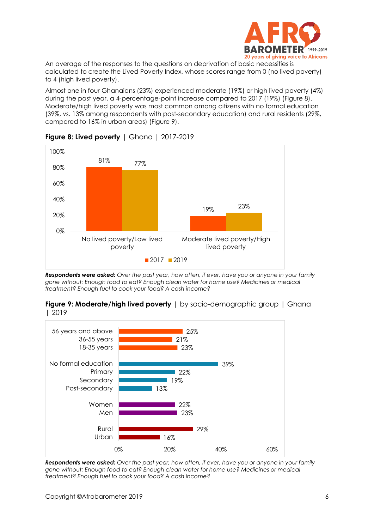

An average of the responses to the questions on deprivation of basic necessities is calculated to create the Lived Poverty Index, whose scores range from 0 (no lived poverty) to 4 (high lived poverty).

Almost one in four Ghanaians (23%) experienced moderate (19%) or high lived poverty (4%) during the past year, a 4-percentage-point increase compared to 2017 (19%) (Figure 8). Moderate/high lived poverty was most common among citizens with no formal education (39%, vs. 13% among respondents with post-secondary education) and rural residents (29%, compared to 16% in urban areas) (Figure 9).



# **Figure 8: Lived poverty** | Ghana | 2017-2019

*Respondents were asked: Over the past year, how often, if ever, have you or anyone in your family gone without: Enough food to eat? Enough clean water for home use? Medicines or medical treatment? Enough fuel to cook your food? A cash income?*



**Figure 9: Moderate/high lived poverty** | by socio-demographic group | Ghana | 2019

*Respondents were asked: Over the past year, how often, if ever, have you or anyone in your family gone without: Enough food to eat? Enough clean water for home use? Medicines or medical treatment? Enough fuel to cook your food? A cash income?*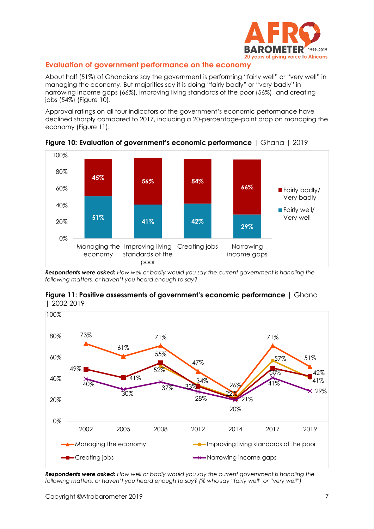

# **Evaluation of government performance on the economy**

About half (51%) of Ghanaians say the government is performing "fairly well" or "very well" in managing the economy. But majorities say it is doing "fairly badly" or "very badly" in narrowing income gaps (66%), improving living standards of the poor (56%), and creating jobs (54%) (Figure 10).

Approval ratings on all four indicators of the government's economic performance have declined sharply compared to 2017, including a 20-percentage-point drop on managing the economy (Figure 11).



**Figure 10: Evaluation of government's economic performance** | Ghana | 2019

*Respondents were asked: How well or badly would you say the current government is handling the following matters, or haven't you heard enough to say?* 



**Figure 11: Positive assessments of government's economic performance** | Ghana | 2002-2019

*Respondents were asked: How well or badly would you say the current government is handling the following matters, or haven't you heard enough to say? (% who say "fairly well" or "very well")*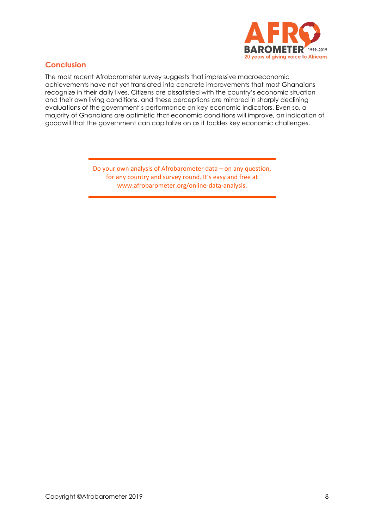

# **Conclusion**

The most recent Afrobarometer survey suggests that impressive macroeconomic achievements have not yet translated into concrete improvements that most Ghanaians recognize in their daily lives. Citizens are dissatisfied with the country's economic situation and their own living conditions, and these perceptions are mirrored in sharply declining evaluations of the government's performance on key economic indicators. Even so, a majority of Ghanaians are optimistic that economic conditions will improve, an indication of goodwill that the government can capitalize on as it tackles key economic challenges.

> Do your own analysis of Afrobarometer data – on any question, for any country and survey round. It's easy and free at www.afrobarometer.org/online-data-analysis.